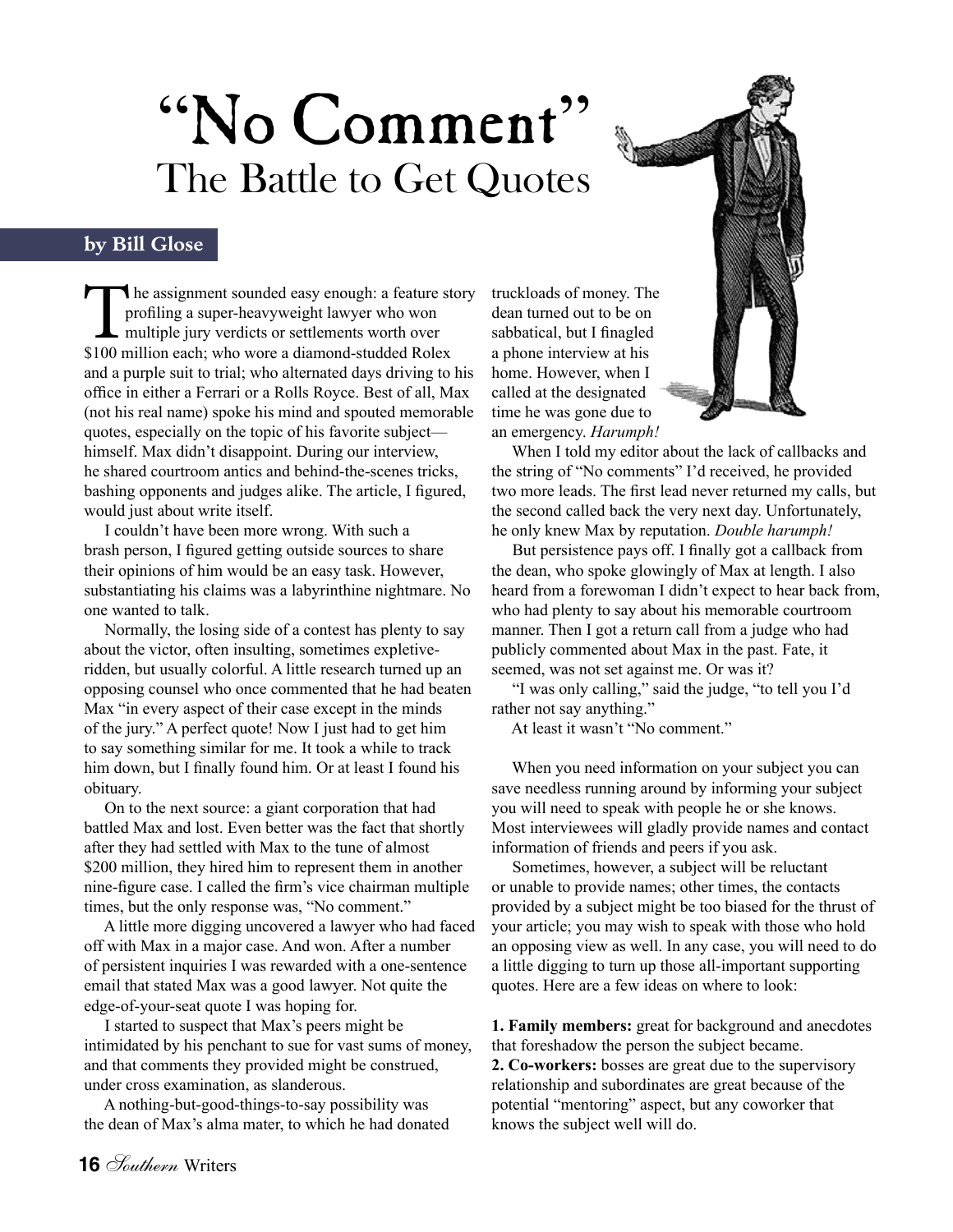## "No Comment" The Battle to Get Quotes

## **by Bill Glose**

**h**e assignment sounded easy enough: a feature story profiling a super-heavyweight lawyer who won **L** multiple jury verdicts or settlements worth over \$100 million each; who wore a diamond-studded Rolex and a purple suit to trial; who alternated days driving to his office in either a Ferrari or a Rolls Royce. Best of all, Max (not his real name) spoke his mind and spouted memorable quotes, especially on the topic of his favorite subject himself. Max didn't disappoint. During our interview, he shared courtroom antics and behind-the-scenes tricks, bashing opponents and judges alike. The article, I figured, would just about write itself. The assignment sounded easy enough: a feature story<br>profiling a super-heavyweight lawyer who won<br>multiple jury verdicts or settlements worth over<br>\$100 million each; who wore a diamond-studded Rolex<br>a phone interview at his

 I couldn't have been more wrong. With such a brash person, I figured getting outside sources to share their opinions of him would be an easy task. However, substantiating his claims was a labyrinthine nightmare. No one wanted to talk.

 Normally, the losing side of a contest has plenty to say about the victor, often insulting, sometimes expletiveridden, but usually colorful. A little research turned up an opposing counsel who once commented that he had beaten Max "in every aspect of their case except in the minds of the jury." A perfect quote! Now I just had to get him to say something similar for me. It took a while to track him down, but I finally found him. Or at least I found his obituary.

 On to the next source: a giant corporation that had battled Max and lost. Even better was the fact that shortly after they had settled with Max to the tune of almost \$200 million, they hired him to represent them in another nine-figure case. I called the firm's vice chairman multiple times, but the only response was, "No comment."

 A little more digging uncovered a lawyer who had faced off with Max in a major case. And won. After a number of persistent inquiries I was rewarded with a one-sentence email that stated Max was a good lawyer. Not quite the edge-of-your-seat quote I was hoping for.

 I started to suspect that Max's peers might be intimidated by his penchant to sue for vast sums of money, and that comments they provided might be construed, under cross examination, as slanderous.

 A nothing-but-good-things-to-say possibility was the dean of Max's alma mater, to which he had donated truckloads of money. The dean turned out to be on sabbatical, but I finagled a phone interview at his home. However, when I called at the designated time he was gone due to an emergency. *Harumph!*



 When I told my editor about the lack of callbacks and the string of "No comments" I'd received, he provided two more leads. The first lead never returned my calls, but the second called back the very next day. Unfortunately, he only knew Max by reputation. *Double harumph!*

 But persistence pays off. I finally got a callback from the dean, who spoke glowingly of Max at length. I also heard from a forewoman I didn't expect to hear back from, who had plenty to say about his memorable courtroom manner. Then I got a return call from a judge who had publicly commented about Max in the past. Fate, it seemed, was not set against me. Or was it?

 "I was only calling," said the judge, "to tell you I'd rather not say anything."

At least it wasn't "No comment."

 When you need information on your subject you can save needless running around by informing your subject you will need to speak with people he or she knows. Most interviewees will gladly provide names and contact information of friends and peers if you ask.

 Sometimes, however, a subject will be reluctant or unable to provide names; other times, the contacts provided by a subject might be too biased for the thrust of your article; you may wish to speak with those who hold an opposing view as well. In any case, you will need to do a little digging to turn up those all-important supporting quotes. Here are a few ideas on where to look:

**1. Family members:** great for background and anecdotes that foreshadow the person the subject became.

**2. Co-workers:** bosses are great due to the supervisory relationship and subordinates are great because of the potential "mentoring" aspect, but any coworker that knows the subject well will do.